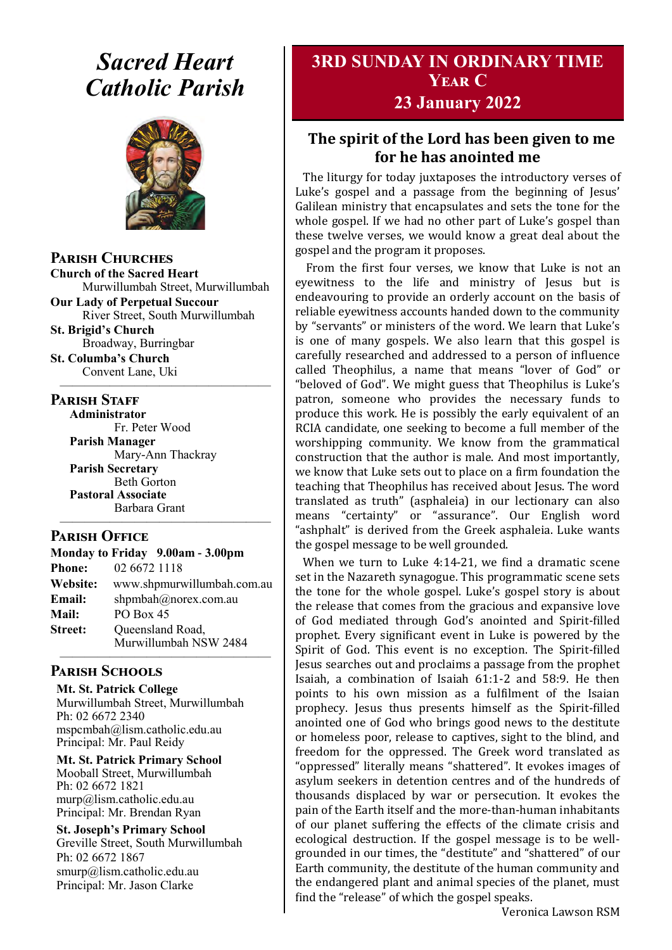# *Sacred Heart Catholic Parish*



**Parish Churches**

**Church of the Sacred Heart** Murwillumbah Street, Murwillumbah

**Our Lady of Perpetual Succour** River Street, South Murwillumbah

**St. Brigid's Church** Broadway, Burringbar **St. Columba's Church**

Convent Lane, Uki —————————————————

#### **PARISH STAFF**

**Administrator** Fr. Peter Wood **Parish Manager** Mary-Ann Thackray **Parish Secretary** Beth Gorton **Pastoral Associate** Barbara Grant —————————————————

#### **Parish Office**

|                 | Monday to Friday 9.00am - 3.00pm |  |
|-----------------|----------------------------------|--|
| <b>Phone:</b>   | 02 6672 1118                     |  |
| <b>Website:</b> | www.shpmurwillumbah.com.au       |  |
| Email:          | shpmbah@norex.com.au             |  |
| <b>Mail:</b>    | PO Box 45                        |  |
| <b>Street:</b>  | Queensland Road,                 |  |
|                 | Murwillumbah NSW 2484            |  |

#### ————————————————— **Parish Schools**

**Mt. St. Patrick College** Murwillumbah Street, Murwillumbah Ph: 02 6672 2340 mspcmbah@lism.catholic.edu.au Principal: Mr. Paul Reidy

**Mt. St. Patrick Primary School** Mooball Street, Murwillumbah Ph: 02 6672 1821 murp@lism.catholic.edu.au Principal: Mr. Brendan Ryan

**St. Joseph's Primary School** Greville Street, South Murwillumbah Ph: 02 6672 1867 smurp@lism.catholic.edu.au Principal: Mr. Jason Clarke

# **3RD SUNDAY IN ORDINARY TIME Year C**

#### **23 January 2022**

#### **The spirit of the Lord has been given to me for he has anointed me**

The liturgy for today juxtaposes the introductory verses of Luke's gospel and a passage from the beginning of Jesus' Galilean ministry that encapsulates and sets the tone for the whole gospel. If we had no other part of Luke's gospel than these twelve verses, we would know a great deal about the gospel and the program it proposes.

From the first four verses, we know that Luke is not an eyewitness to the life and ministry of Jesus but is endeavouring to provide an orderly account on the basis of reliable eyewitness accounts handed down to the community by "servants" or ministers of the word. We learn that Luke's is one of many gospels. We also learn that this gospel is carefully researched and addressed to a person of influence called Theophilus, a name that means "lover of God" or "beloved of God". We might guess that Theophilus is Luke's patron, someone who provides the necessary funds to produce this work. He is possibly the early equivalent of an RCIA candidate, one seeking to become a full member of the worshipping community. We know from the grammatical construction that the author is male. And most importantly, we know that Luke sets out to place on a firm foundation the teaching that Theophilus has received about Jesus. The word translated as truth" (asphaleia) in our lectionary can also means "certainty" or "assurance". Our English word "ashphalt" is derived from the Greek asphaleia. Luke wants the gospel message to be well grounded.

When we turn to Luke 4:14-21, we find a dramatic scene set in the Nazareth synagogue. This programmatic scene sets the tone for the whole gospel. Luke's gospel story is about the release that comes from the gracious and expansive love of God mediated through God's anointed and Spirit-filled prophet. Every significant event in Luke is powered by the Spirit of God. This event is no exception. The Spirit-filled Jesus searches out and proclaims a passage from the prophet Isaiah, a combination of Isaiah 61:1-2 and 58:9. He then points to his own mission as a fulfilment of the Isaian prophecy. Jesus thus presents himself as the Spirit-filled anointed one of God who brings good news to the destitute or homeless poor, release to captives, sight to the blind, and freedom for the oppressed. The Greek word translated as "oppressed" literally means "shattered". It evokes images of asylum seekers in detention centres and of the hundreds of thousands displaced by war or persecution. It evokes the pain of the Earth itself and the more-than-human inhabitants of our planet suffering the effects of the climate crisis and ecological destruction. If the gospel message is to be wellgrounded in our times, the "destitute" and "shattered" of our Earth community, the destitute of the human community and the endangered plant and animal species of the planet, must find the "release" of which the gospel speaks.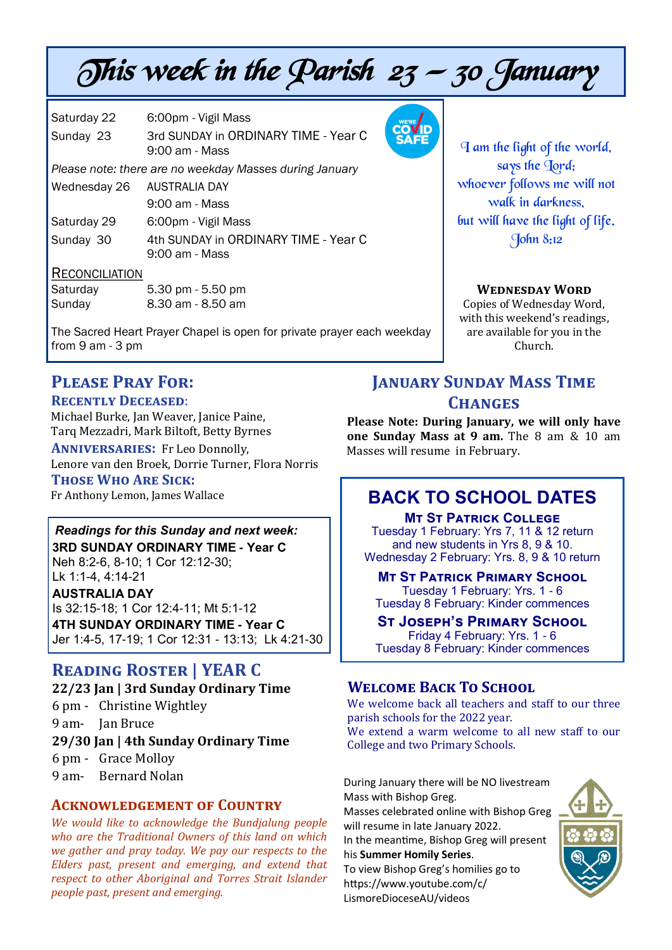# This week in the Parish  $23 - 30$  January

| Saturday 22 | 6:00pm - Vigil Mass                                    |
|-------------|--------------------------------------------------------|
| Sunday 23   | 3rd SUNDAY in ORDINARY TIME - Year C<br>9:00 am - Mass |
|             |                                                        |

*Please note: there are no weekday Masses during January*

| Wednesday 26 AUSTRALIA DAY |                                      |
|----------------------------|--------------------------------------|
|                            | 9:00 am - Mass                       |
| Saturday 29                | 6:00pm - Vigil Mass                  |
| Sunday 30                  | 4th SUNDAY in ORDINARY TIME - Year C |

9:00 am - Mass

#### **RECONCILIATION**

| Saturday | 5.30 pm - 5.50 pm |
|----------|-------------------|
| Sunday   | 8.30 am - 8.50 am |

The Sacred Heart Prayer Chapel is open for private prayer each weekday from 9 am - 3 pm

# **Please Pray For:**

#### **Recently Deceased**:

Michael Burke, Jan Weaver, Janice Paine, Tarq Mezzadri, Mark Biltoft, Betty Byrnes

**Anniversaries:** Fr Leo Donnolly, Lenore van den Broek, Dorrie Turner, Flora Norris **Those Who Are Sick:**  Fr Anthony Lemon, James Wallace

#### *Readings for this Sunday and next week:*  **3RD SUNDAY ORDINARY TIME - Year C** Neh 8:2-6, 8-10; 1 Cor 12:12-30; Lk 1:1-4, 4:14-21

**AUSTRALIA DAY**

Is 32:15-18; 1 Cor 12:4-11; Mt 5:1-12 **4TH SUNDAY ORDINARY TIME - Year C** Jer 1:4-5, 17-19; 1 Cor 12:31 - 13:13; Lk 4:21-30

# **Reading Roster | YEAR C**

# **22/23 Jan | 3rd Sunday Ordinary Time**  6 pm - Christine Wightley 9 am- Jan Bruce **29/30 Jan | 4th Sunday Ordinary Time**  6 pm - Grace Molloy 9 am- Bernard Nolan

#### **Acknowledgement of Country**

*We would like to acknowledge the Bundjalung people who are the Traditional Owners of this land on which we gather and pray today. We pay our respects to the Elders past, present and emerging, and extend that respect to other Aboriginal and Torres Strait Islander people past, present and emerging.* 



I am the light of the world, says the Jord; whoever follows me will not walk in darkness, but will have the light of life. John 8:12

#### **Wednesday Word**

Copies of Wednesday Word, with this weekend's readings, are available for you in the Church.

# **JANUARY SUNDAY MASS TIME Changes**

**Please Note: During January, we will only have one Sunday Mass at 9 am.** The 8 am & 10 am Masses will resume in February.

# **BACK TO SCHOOL DATES**

**Mt St Patrick College**

Tuesday 1 February: Yrs 7, 11 & 12 return and new students in Yrs 8, 9 & 10. Wednesday 2 February: Yrs. 8, 9 & 10 return

#### **MT ST PATRICK PRIMARY SCHOOL**

Tuesday 1 February: Yrs. 1 - 6 Tuesday 8 February: Kinder commences

#### **St Joseph's Primary School** Friday 4 February: Yrs. 1 - 6

Tuesday 8 February: Kinder commences

## **Welcome Back To School**

We welcome back all teachers and staff to our three parish schools for the 2022 year.

We extend a warm welcome to all new staff to our College and two Primary Schools.

During January there will be NO livestream Mass with Bishop Greg. Masses celebrated online with Bishop Greg

will resume in late January 2022. In the meantime, Bishop Greg will present

his **Summer Homily Series**.

To view Bishop Greg's homilies go to https://www.youtube.com/c/ LismoreDioceseAU/videos

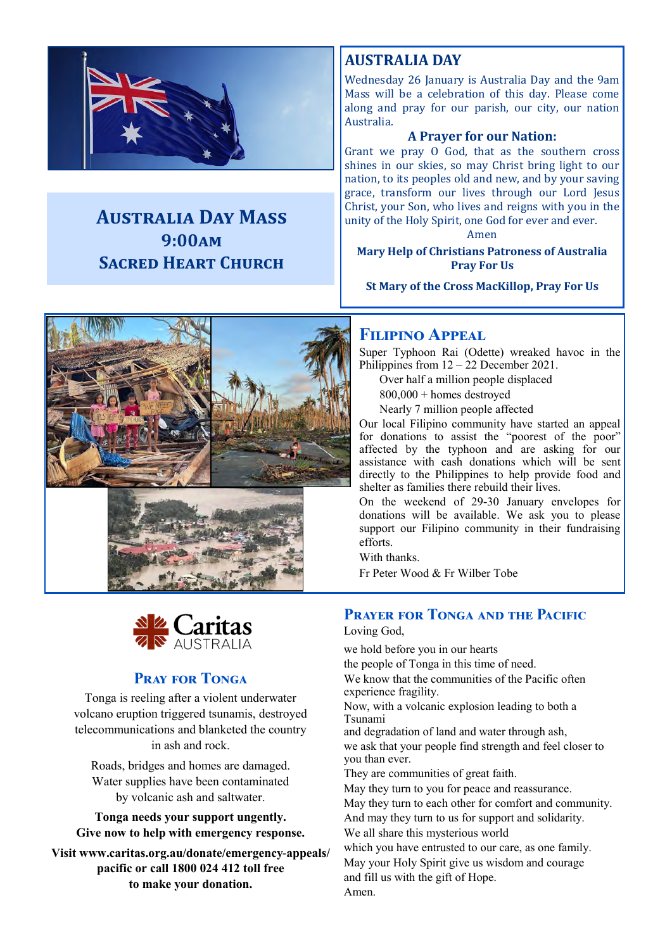

# **Australia Day Mass 9:00am Sacred Heart Church**

# **AUSTRALIA DAY**

Wednesday 26 January is Australia Day and the 9am Mass will be a celebration of this day. Please come along and pray for our parish, our city, our nation Australia.

#### **A Prayer for our Nation:**

Grant we pray O God, that as the southern cross shines in our skies, so may Christ bring light to our nation, to its peoples old and new, and by your saving grace, transform our lives through our Lord Jesus Christ, your Son, who lives and reigns with you in the unity of the Holy Spirit, one God for ever and ever.

Amen

**Mary Help of Christians Patroness of Australia Pray For Us**

**St Mary of the Cross MacKillop, Pray For Us**





#### **Pray for Tonga**

Tonga is reeling after a violent underwater volcano eruption triggered tsunamis, destroyed telecommunications and blanketed the country in ash and rock.

Roads, bridges and homes are damaged. Water supplies have been contaminated by volcanic ash and saltwater.

**Tonga needs your support ungently. Give now to help with emergency response.** 

**Visit www.caritas.org.au/donate/emergency-appeals/ pacific or call 1800 024 412 toll free to make your donation.** 

#### **Filipino Appeal**

Super Typhoon Rai (Odette) wreaked havoc in the Philippines from  $12 - 22$  December 2021.

Over half a million people displaced

800,000 + homes destroyed

Nearly 7 million people affected

Our local Filipino community have started an appeal for donations to assist the "poorest of the poor" affected by the typhoon and are asking for our assistance with cash donations which will be sent directly to the Philippines to help provide food and shelter as families there rebuild their lives.

On the weekend of 29-30 January envelopes for donations will be available. We ask you to please support our Filipino community in their fundraising efforts.

With thanks.

Fr Peter Wood & Fr Wilber Tobe

#### **Prayer for Tonga and the Pacific**

Loving God,

we hold before you in our hearts

the people of Tonga in this time of need.

We know that the communities of the Pacific often experience fragility.

Now, with a volcanic explosion leading to both a Tsunami

and degradation of land and water through ash, we ask that your people find strength and feel closer to you than ever.

They are communities of great faith.

May they turn to you for peace and reassurance.

May they turn to each other for comfort and community. And may they turn to us for support and solidarity.

We all share this mysterious world

which you have entrusted to our care, as one family. May your Holy Spirit give us wisdom and courage and fill us with the gift of Hope. Amen.